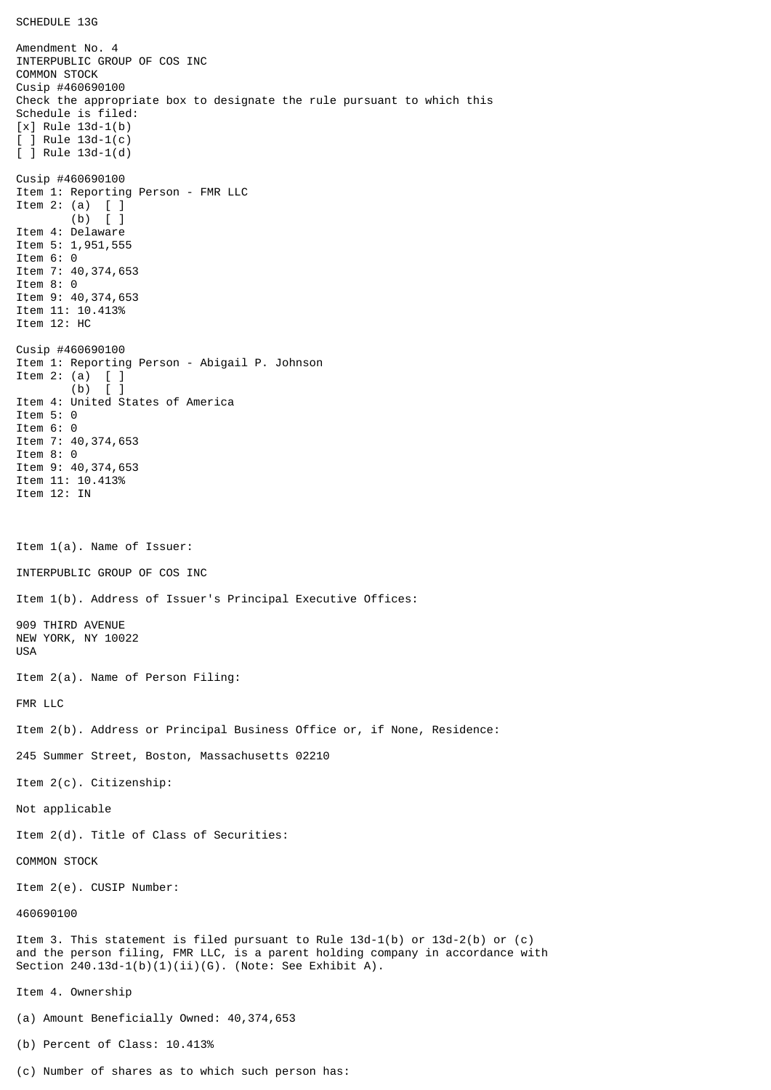SCHEDULE 13G

Amendment No. 4 INTERPUBLIC GROUP OF COS INC COMMON STOCK Cusip #460690100 Check the appropriate box to designate the rule pursuant to which this Schedule is filed: [x] Rule 13d-1(b)  $\lceil$   $\rceil$  Rule 13d-1(c) [ ] Rule 13d-1(d) Cusip #460690100 Item 1: Reporting Person - FMR LLC Item 2: (a)  $\begin{bmatrix} 1 \\ 0 \end{bmatrix}$  $\lceil$   $\rceil$ Item 4: Delaware Item 5: 1,951,555 Item 6: 0 Item 7: 40,374,653 Item 8: 0 Item 9: 40,374,653 Item 11: 10.413% Item 12: HC Cusip #460690100 Item 1: Reporting Person - Abigail P. Johnson Item 2: (a)  $[$   $]$ <br>(b)  $[$   $]$  $(b)$ Item 4: United States of America Item 5: 0 Item 6: 0 Item 7: 40,374,653 Item 8: 0 Item 9: 40,374,653 Item 11: 10.413% Item 12: IN Item 1(a). Name of Issuer: INTERPUBLIC GROUP OF COS INC Item 1(b). Address of Issuer's Principal Executive Offices: 909 THIRD AVENUE NEW YORK, NY 10022 USA Item 2(a). Name of Person Filing: FMR LLC Item 2(b). Address or Principal Business Office or, if None, Residence: 245 Summer Street, Boston, Massachusetts 02210 Item 2(c). Citizenship: Not applicable Item 2(d). Title of Class of Securities: COMMON STOCK Item 2(e). CUSIP Number: 460690100 Item 3. This statement is filed pursuant to Rule 13d-1(b) or 13d-2(b) or (c) and the person filing, FMR LLC, is a parent holding company in accordance with Section 240.13d-1(b)(1)(ii)(G). (Note: See Exhibit A). Item 4. Ownership (a) Amount Beneficially Owned: 40,374,653 (b) Percent of Class: 10.413%

(c) Number of shares as to which such person has: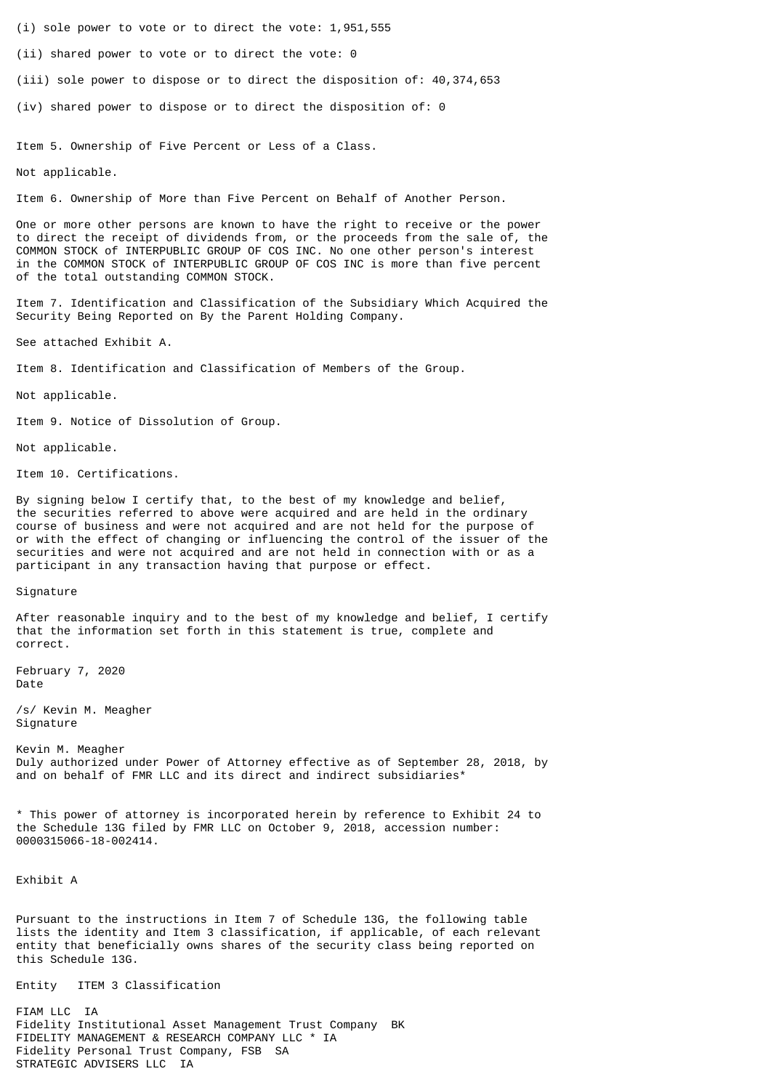- (i) sole power to vote or to direct the vote: 1,951,555
- (ii) shared power to vote or to direct the vote: 0
- (iii) sole power to dispose or to direct the disposition of: 40,374,653
- (iv) shared power to dispose or to direct the disposition of: 0

Item 5. Ownership of Five Percent or Less of a Class.

Not applicable.

Item 6. Ownership of More than Five Percent on Behalf of Another Person.

One or more other persons are known to have the right to receive or the power to direct the receipt of dividends from, or the proceeds from the sale of, the COMMON STOCK of INTERPUBLIC GROUP OF COS INC. No one other person's interest in the COMMON STOCK of INTERPUBLIC GROUP OF COS INC is more than five percent of the total outstanding COMMON STOCK.

Item 7. Identification and Classification of the Subsidiary Which Acquired the Security Being Reported on By the Parent Holding Company.

See attached Exhibit A.

Item 8. Identification and Classification of Members of the Group.

Not applicable.

Item 9. Notice of Dissolution of Group.

Not applicable.

Item 10. Certifications.

By signing below I certify that, to the best of my knowledge and belief, the securities referred to above were acquired and are held in the ordinary course of business and were not acquired and are not held for the purpose of or with the effect of changing or influencing the control of the issuer of the securities and were not acquired and are not held in connection with or as a participant in any transaction having that purpose or effect.

## Signature

After reasonable inquiry and to the best of my knowledge and belief, I certify that the information set forth in this statement is true, complete and correct.

February 7, 2020 Date

/s/ Kevin M. Meagher Signature

Kevin M. Meagher Duly authorized under Power of Attorney effective as of September 28, 2018, by and on behalf of FMR LLC and its direct and indirect subsidiaries\*

\* This power of attorney is incorporated herein by reference to Exhibit 24 to the Schedule 13G filed by FMR LLC on October 9, 2018, accession number: 0000315066-18-002414.

Exhibit A

Pursuant to the instructions in Item 7 of Schedule 13G, the following table lists the identity and Item 3 classification, if applicable, of each relevant entity that beneficially owns shares of the security class being reported on this Schedule 13G.

Entity ITEM 3 Classification

FIAM LLC IA Fidelity Institutional Asset Management Trust Company BK FIDELITY MANAGEMENT & RESEARCH COMPANY LLC \* IA Fidelity Personal Trust Company, FSB SA STRATEGIC ADVISERS LLC IA